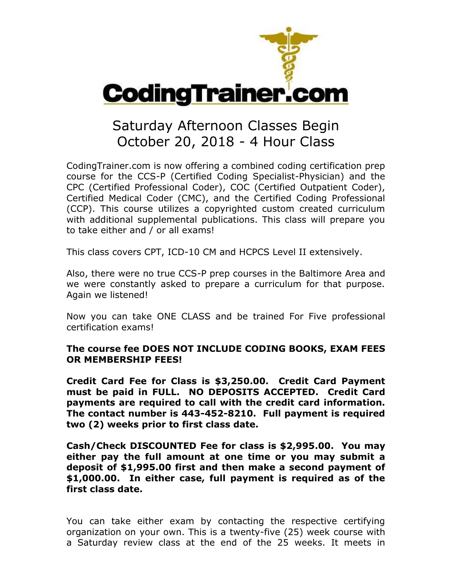

## Saturday Afternoon Classes Begin October 20, 2018 - 4 Hour Class

CodingTrainer.com is now offering a combined coding certification prep course for the CCS-P (Certified Coding Specialist-Physician) and the CPC (Certified Professional Coder), COC (Certified Outpatient Coder), Certified Medical Coder (CMC), and the Certified Coding Professional (CCP). This course utilizes a copyrighted custom created curriculum with additional supplemental publications. This class will prepare you to take either and / or all exams!

This class covers CPT, ICD-10 CM and HCPCS Level II extensively.

Also, there were no true CCS-P prep courses in the Baltimore Area and we were constantly asked to prepare a curriculum for that purpose. Again we listened!

Now you can take ONE CLASS and be trained For Five professional certification exams!

## **The course fee DOES NOT INCLUDE CODING BOOKS, EXAM FEES OR MEMBERSHIP FEES!**

**Credit Card Fee for Class is \$3,250.00. Credit Card Payment must be paid in FULL. NO DEPOSITS ACCEPTED. Credit Card payments are required to call with the credit card information. The contact number is 443-452-8210. Full payment is required two (2) weeks prior to first class date.**

**Cash/Check DISCOUNTED Fee for class is \$2,995.00. You may either pay the full amount at one time or you may submit a deposit of \$1,995.00 first and then make a second payment of \$1,000.00. In either case, full payment is required as of the first class date.**

You can take either exam by contacting the respective certifying organization on your own. This is a twenty-five (25) week course with a Saturday review class at the end of the 25 weeks. It meets in